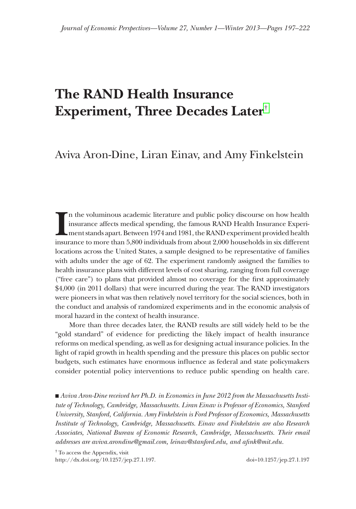# **The RAND Health Insurance Experiment, Three Decades Later**†

# Aviva Aron-Dine, Liran Einav, and Amy Finkelstein

II insurance affects medical spending, the famous RAND Health Insurance Experiment stands apart. Between 1974 and 1981, the RAND experiment provided health insurance to more than 5,800 individuals from about 2,000 househol In the voluminous academic literature and public policy discourse on how health insurance affects medical spending, the famous RAND Health Insurance Experiment stands apart. Between 1974 and 1981, the RAND experiment provided health locations across the United States, a sample designed to be representative of families with adults under the age of 62. The experiment randomly assigned the families to health insurance plans with different levels of cost sharing, ranging from full coverage ("free care") to plans that provided almost no coverage for the first approximately \$4,000 (in 2011 dollars) that were incurred during the year. The RAND investigators 4,000 (in 2011 dollars) that were incurred during the year. The RAND investigators were pioneers in what was then relatively novel territory for the social sciences, both in the conduct and analysis of randomized experiments and in the economic analysis of moral hazard in the context of health insurance.

More than three decades later, the RAND results are still widely held to be the "gold standard" of evidence for predicting the likely impact of health insurance reforms on medical spending, as well as for designing actual insurance policies. In the light of rapid growth in health spending and the pressure this places on public sector budgets, such estimates have enormous influence as federal and state policymakers consider potential policy interventions to reduce public spending on health care.

■ *Aviva Aron-Dine received her Ph.D. in Economics in June 2012 from the Massachusetts Institute of Technology, Cambridge, Massachusetts. Liran Einav is Professor of Economics, Stanford University, Stanford, California. Amy Finkelstein is Ford Professor of Economics, Massachusetts Institute of Technology, Cambridge, Massachusetts. Einav and Finkelstein are also Research Associates, National Bureau of Economic Research, Cambridge, Massachusetts. Their email*   $addresses$  are  $a$ viva.arondine@gmail.com, leinav@stanford.edu, and afink@mit.edu.

† To access the Appendix, visit

http://dx.doi.org/10.1257/jep.27.1.197. doi=10.1257/jep.27.1.197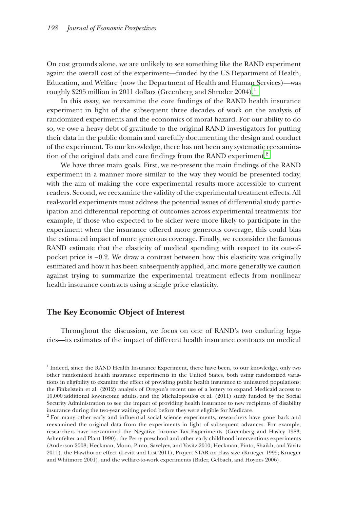On cost grounds alone, we are unlikely to see something like the RAND experiment again: the overall cost of the experiment—funded by the US Department of Health, gain: the overall cost of the experiment—funded by the US Department of Health, Education, and Welfare (now the Department of Health and Human Services)—was roughly \$295 million in 2011 dollars (Greenberg and Shroder 2004). $^{\rm l}$ 

In this essay, we reexamine the core findings of the RAND health insurance experiment in light of the subsequent three decades of work on the analysis of randomized experiments and the economics of moral hazard. For our ability to do so, we owe a heavy debt of gratitude to the original RAND investigators for putting their data in the public domain and carefully documenting the design and conduct heir data in the public domain and carefully documenting the design and conduct of the experiment. To our knowledge, there has not been any systematic reexamination of the original data and core findings from the RAND experiment.<sup>2</sup>

We have three main goals. First, we re-present the main findings of the RAND experiment in a manner more similar to the way they would be presented today, with the aim of making the core experimental results more accessible to current readers. Second, we reexamine the validity of the experimental treatment effects. All real-world experiments must address the potential issues of differential study participation and differential reporting of outcomes across experimental treatments: for example, if those who expected to be sicker were more likely to participate in the experiment when the insurance offered more generous coverage, this could bias the estimated impact of more generous coverage. Finally, we reconsider the famous RAND estimate that the elasticity of medical spending with respect to its out-ofpocket price is  $-0.2$ . We draw a contrast between how this elasticity was originally estimated and how it has been subsequently applied, and more generally we caution against trying to summarize the experimental treatment effects from nonlinear health insurance contracts using a single price elasticity.

## **The Key Economic Object of Interest**

Throughout the discussion, we focus on one of RAND's two enduring legacies—its estimates of the impact of different health insurance contracts on medical

<sup>1</sup> Indeed, since the RAND Health Insurance Experiment, there have been, to our knowledge, only two other randomized health insurance experiments in the United States, both using randomized variations in eligibility to examine the effect of providing public health insurance to uninsured populations: the Finkelstein et al. (2012) analysis of Oregon's recent use of a lottery to expand Medicaid access to 10,000 additional low-income adults, and the Michalopoulos et al. (2011) study funded by the Social Security Administration to see the impact of providing health insurance to new recipients of disability insurance during the two-year waiting period before they were eligible for Medicare.

<sup>&</sup>lt;sup>2</sup> For many other early and influential social science experiments, researchers have gone back and reexamined the original data from the experiments in light of subsequent advances. For example, researchers have reexamined the Negative Income Tax Experiments (Greenberg and Hasley 1983; Ashenfelter and Plant 1990), the Perry preschool and other early childhood interventions experiments (Anderson 2008; Heckman, Moon, Pinto, Savelyev, and Yavitz 2010; Heckman, Pinto, Shaikh, and Yavitz 2011), the Hawthorne effect (Levitt and List 2011), Project STAR on class size (Krueger 1999; Krueger and Whitmore 2001), and the welfare-to-work experiments (Bitler, Gelbach, and Hoynes 2006).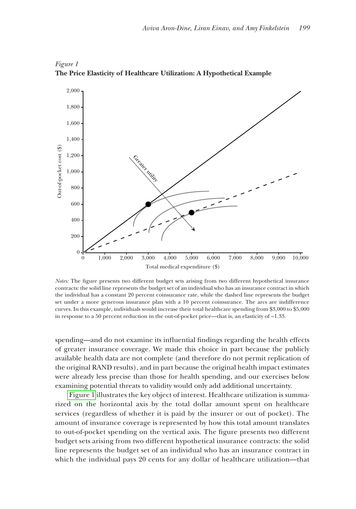

*Figure 1* **The Price Elasticity of Healthcare Utilization: A Hypothetical Example**

*Notes:* The figure presents two different budget sets arising from two different hypothetical insurance contracts: the solid line represents the budget set of an individual who has an insurance contract in which the individual has a constant 20 percent coinsurance rate, while the dashed line represents the budget set under a more generous insurance plan with a 10 percent coinsurance. The arcs are indifference curves. In this example, individuals would increase their total healthcare spending from \$3,000 to \$5,000 in response to a 50 percent reduction in the out-of-pocket price—that is, an elasticity of – 1.33.

spending—and do not examine its influential findings regarding the health effects of greater insurance coverage. We made this choice in part because the publicly available health data are not complete (and therefore do not permit replication of the original RAND results), and in part because the original health impact estimates he original RAND results), and in part because the original health impact estimates were already less precise than those for health spending, and our exercises below examining potential threats to validity would only add additional uncertainty.

Figure 1 illustrates the key object of interest. Healthcare utilization is summarized on the horizontal axis by the total dollar amount spent on healthcare services (regardless of whether it is paid by the insurer or out of pocket). The amount of insurance coverage is represented by how this total amount translates to out-of-pocket spending on the vertical axis. The figure presents two different budget sets arising from two different hypothetical insurance contracts: the solid line represents the budget set of an individual who has an insurance contract in which the individual pays 20 cents for any dollar of healthcare utilization—that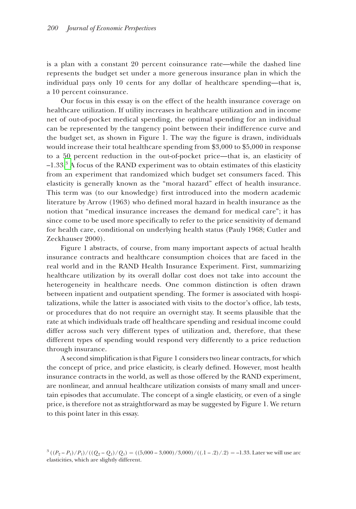is a plan with a constant 20 percent coinsurance rate—while the dashed line represents the budget set under a more generous insurance plan in which the individual pays only 10 cents for any dollar of healthcare spending—that is, a 10 percent coinsurance.

Our focus in this essay is on the effect of the health insurance coverage on healthcare utilization. If utility increases in healthcare utilization and in income net of out-of-pocket medical spending, the optimal spending for an individual can be represented by the tangency point between their indifference curve and the budget set, as shown in Figure 1. The way the figure is drawn, individuals would increase their total healthcare spending from  $$3,000$  to  $$5,000$  in response to a 50 percent reduction in the out-of-pocket price—that is, an elasticity of  $-1.33.^{3}$  A focus of the RAND experiment was to obtain estimates of this elasticity from an experiment that randomized which budget set consumers faced. This elasticity is generally known as the "moral hazard" effect of health insurance. This term was (to our knowledge) first introduced into the modern academic literature by Arrow (1963) who defined moral hazard in health insurance as the notion that "medical insurance increases the demand for medical care"; it has since come to be used more specifically to refer to the price sensitivity of demand for health care, conditional on underlying health status (Pauly 1968; Cutler and Zeckhauser 2000).

Figure 1 abstracts, of course, from many important aspects of actual health insurance contracts and healthcare consumption choices that are faced in the real world and in the RAND Health Insurance Experiment. First, summarizing healthcare utilization by its overall dollar cost does not take into account the heterogeneity in healthcare needs. One common distinction is often drawn between inpatient and outpatient spending. The former is associated with hospitalizations, while the latter is associated with visits to the doctor's office, lab tests, or procedures that do not require an overnight stay. It seems plausible that the rate at which individuals trade off healthcare spending and residual income could differ across such very different types of utilization and, therefore, that these different types of spending would respond very differently to a price reduction through insurance.

A second simplification is that Figure 1 considers two linear contracts, for which the concept of price, and price elasticity, is clearly defined. However, most health insurance contracts in the world, as well as those offered by the RAND experiment, are nonlinear, and annual healthcare utilization consists of many small and uncertain episodes that accumulate. The concept of a single elasticity, or even of a single price, is therefore not as straightforward as may be suggested by Figure 1. We return to this point later in this essay.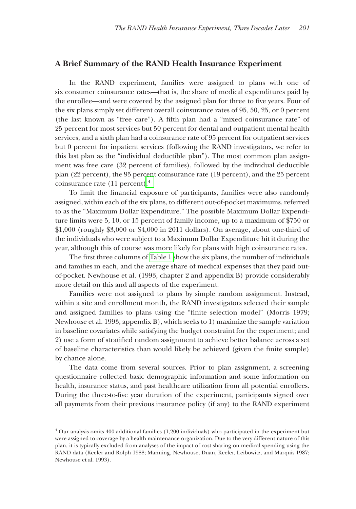## **A Brief Summary of the RAND Health Insurance Experiment**

In the RAND experiment, families were assigned to plans with one of six consumer coinsurance rates—that is, the share of medical expenditures paid by the enrollee—and were covered by the assigned plan for three to five years. Four of the six plans simply set different overall coinsurance rates of 95, 50, 25, or 0 percent (the last known as "free care"). A fifth plan had a "mixed coinsurance rate" of 25 percent for most services but 50 percent for dental and outpatient mental health services, and a sixth plan had a coinsurance rate of 95 percent for outpatient services but 0 percent for inpatient services (following the RAND investigators, we refer to this last plan as the "individual deductible plan"). The most common plan assignment was free care (32 percent of families), followed by the individual deductible plan (22 percent), the 95 percent coinsurance rate (19 percent), and the 25 percent coinsurance rate  $(11$  percent).<sup>4</sup>

To limit the financial exposure of participants, families were also randomly assigned, within each of the six plans, to different out-of-pocket maximums, referred to as the "Maximum Dollar Expenditure." The possible Maximum Dollar Expenditure. ture limits were 5, 10, or 15 percent of family income, up to a maximum of  $$750$  or \$1,000 (roughly \$3,000 or \$4,000 in 2011 dollars). On average, about one-third of 1,000 (roughly \$3,000 or \$4,000 in 2011 dollars). On average, about one-third of the individuals who were subject to a Maximum Dollar Expenditure hit it during the year, although this of course was more likely for plans with high coinsurance rates.

The first three columns of [Table 1 s](#page-5-0)how the six plans, the number of individuals and families in each, and the average share of medical expenses that they paid outof-pocket. Newhouse et al. (1993, chapter 2 and appendix B) provide considerably more detail on this and all aspects of the experiment.

Families were not assigned to plans by simple random assignment. Instead, within a site and enrollment month, the RAND investigators selected their sample and assigned families to plans using the "finite selection model" (Morris 1979; Newhouse et al. 1993, appendix B), which seeks to 1) maximize the sample variation in baseline covariates while satisfying the budget constraint for the experiment; and 2) use a form of stratified random assignment to achieve better balance across a set of baseline characteristics than would likely be achieved (given the finite sample) by chance alone.

The data come from several sources. Prior to plan assignment, a screening questionnaire collected basic demographic information and some information on health, insurance status, and past healthcare utilization from all potential enrollees. During the three-to-five year duration of the experiment, participants signed over all payments from their previous insurance policy (if any) to the RAND experiment

<sup>4</sup> Our analysis omits 400 additional families (1,200 individuals) who participated in the experiment but were assigned to coverage by a health maintenance organization. Due to the very different nature of this plan, it is typically excluded from analyses of the impact of cost sharing on medical spending using the RAND data (Keeler and Rolph 1988; Manning, Newhouse, Duan, Keeler, Leibowitz, and Marquis 1987; Newhouse et al. 1993).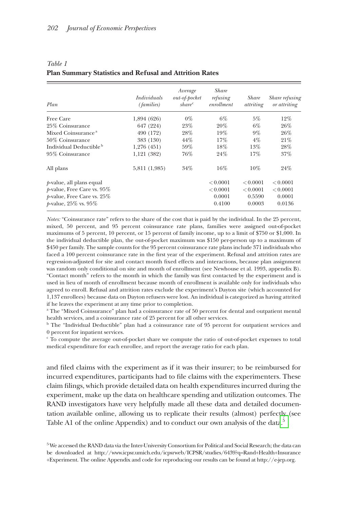| Plan                               | Individuals<br><i>(families)</i> | Average<br>$out-of-pocket$<br>share <sup>c</sup> | <i>Share</i><br>refusing<br>enrollment | <i>Share</i><br>attriting | Share refusing<br>or attriting |
|------------------------------------|----------------------------------|--------------------------------------------------|----------------------------------------|---------------------------|--------------------------------|
| Free Care                          | 1,894 (626)                      | $0\%$                                            | $6\%$                                  | $5\%$                     | 12%                            |
| 25% Coinsurance                    | 647 (224)                        | 23%                                              | 20%                                    | $6\%$                     | 26%                            |
| Mixed Coinsurance <sup>a</sup>     | 490 (172)                        | 28%                                              | 19%                                    | $9\%$                     | 26%                            |
| 50% Coinsurance                    | 383 (130)                        | 44%                                              | 17%                                    | $4\%$                     | 21%                            |
| Individual Deductible <sup>b</sup> | 1,276(451)                       | 59%                                              | 18%                                    | 13%                       | 28%                            |
| 95% Coinsurance                    | 1,121 (382)                      | 76%                                              | 24%                                    | 17%                       | 37%                            |
| All plans                          | 5,811 (1,985)                    | 34%                                              | 16%                                    | $10\%$                    | 24%                            |
| $p$ -value, all plans equal        |                                  |                                                  | < 0.0001                               | < 0.0001                  | < 0.0001                       |
| $p$ -value, Free Care vs. 95%      |                                  |                                                  | < 0.0001                               | < 0.0001                  | < 0.0001                       |
| $p$ -value, Free Care vs. 25%      |                                  |                                                  | 0.0001                                 | 0.5590                    | 0.0001                         |
| $p$ -value, 25% vs. 95%            |                                  |                                                  | 0.4100                                 | 0.0003                    | 0.0136                         |

#### <span id="page-5-0"></span>*Table 1* **Plan Summary Statistics and Refusal and Attrition Rates**

*Notes:* "Coinsurance rate" refers to the share of the cost that is paid by the individual. In the 25 percent, mixed, 50 percent, and 95 percent coinsurance rate plans, families were assigned out-of-pocket maximums of 5 percent, 10 percent, or 15 percent of family income, up to a limit of \$750 or \$1,000. In the individual deductible plan, the out-of-pocket maximum was \$150 per-person up to a maximum of \$450 per family. The sample counts for the 95 percent coinsurance rate plans include 371 individuals who faced a 100 percent coinsurance rate in the first year of the experiment. Refusal and attrition rates are regression-adjusted for site and contact month fixed effects and interactions, because plan assignment was random only conditional on site and month of enrollment (see Newhouse et al. 1993, appendix B). "Contact month" refers to the month in which the family was first contacted by the experiment and is used in lieu of month of enrollment because month of enrollment is available only for individuals who agreed to enroll. Refusal and attrition rates exclude the experiment's Dayton site (which accounted for 1,137 enrollees) because data on Dayton refusers were lost. An individual is categorized as having attrited if he leaves the experiment at any time prior to completion.

a The "Mixed Coinsurance" plan had a coinsurance rate of 50 percent for dental and outpatient mental health services, and a coinsurance rate of 25 percent for all other services.

<sup>b</sup> The "Individual Deductible" plan had a coinsurance rate of 95 percent for outpatient services and 0 percent for inpatient services.

c To compute the average out-of-pocket share we compute the ratio of out-of-pocket expenses to total medical expenditure for each enrollee, and report the average ratio for each plan.

and filed claims with the experiment as if it was their insurer; to be reimbursed for incurred expenditures, participants had to file claims with the experimenters. These claim filings, which provide detailed data on health expenditures incurred during the experiment, make up the data on healthcare spending and utilization outcomes. The RAND investigators have very helpfully made all these data and detailed documentation available online, allowing us to replicate their results (almost) perfectly (see Table A1 of the online Appendix) and to conduct our own analysis of the data. $^5$ 

5 We accessed the RAND data via the Inter-University Consortium for Political and Social Research; the data can be downloaded at http://www.icpsr.umich.edu/icpsrweb/ICPSR/studies/6439?q=Rand+Health+Insurance +Experiment. The online Appendix and code for reproducing our results can be found at http://e-jep.org.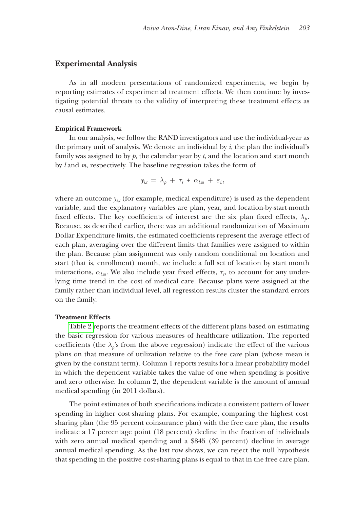#### **Experimental Analysis**

As in all modern presentations of randomized experiments, we begin by reporting estimates of experimental treatment effects. We then continue by investigating potential threats to the validity of interpreting these treatment effects as causal estimates.

#### **Empirical Framework**

In our analysis, we follow the RAND investigators and use the individual-year as the primary unit of analysis. We denote an individual by  $i$ , the plan the individual's family was assigned to by  $p$ , the calendar year by  $t$ , and the location and start month by *l* and *m*, respectively. The baseline regression takes the form of

$$
y_{i,t} = \lambda_p + \tau_t + \alpha_{l,m} + \varepsilon_{i,t}
$$

where an outcome  $y_{i,t}$  (for example, medical expenditure) is used as the dependent variable, and the explanatory variables are plan, year, and location-by-start-month fixed effects. The key coefficients of interest are the six plan fixed effects,  $\lambda_b$ . Because, as described earlier, there was an additional randomization of Maximum Dollar Expenditure limits, the estimated coefficients represent the average effect of each plan, averaging over the different limits that families were assigned to within the plan. Because plan assignment was only random conditional on location and start (that is, enrollment) month, we include a full set of location by start month interactions,  $\alpha_{l,m}$ . We also include year fixed effects,  $\tau_t$ , to account for any underlying time trend in the cost of medical care. Because plans were assigned at the family rather than individual level, all regression results cluster the standard errors on the family.

#### **Treatment Effects**

[Table 2 r](#page-7-0)eports the treatment effects of the different plans based on estimating the basic regression for various measures of healthcare utilization. The reported coefficients (the  $\lambda_p$ 's from the above regression) indicate the effect of the various plans on that measure of utilization relative to the free care plan (whose mean is given by the constant term). Column 1 reports results for a linear probability model in which the dependent variable takes the value of one when spending is positive and zero otherwise. In column 2, the dependent variable is the amount of annual medical spending (in 2011 dollars).

The point estimates of both specifications indicate a consistent pattern of lower spending in higher cost-sharing plans. For example, comparing the highest costsharing plan (the 95 percent coinsurance plan) with the free care plan, the results indicate a  $17$  percentage point (18 percent) decline in the fraction of individuals with zero annual medical spending and a  $$845$  (39 percent) decline in average annual medical spending. As the last row shows, we can reject the null hypothesis that spending in the positive cost-sharing plans is equal to that in the free care plan.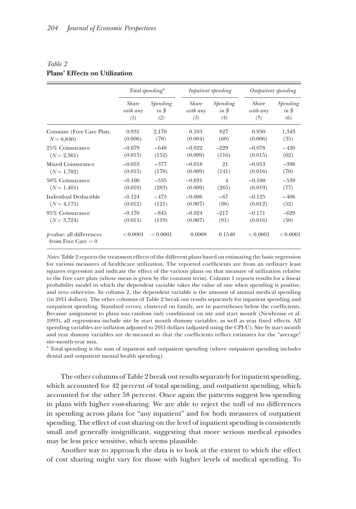# <span id="page-7-0"></span>*Table 2* **Plans' Effects on Utilization**

|                                                          | Total spending <sup>a</sup> |          | Inpatient spending |                | Outpatient spending |          |
|----------------------------------------------------------|-----------------------------|----------|--------------------|----------------|---------------------|----------|
|                                                          | <i>Share</i>                | Spending | <i>Share</i>       | Spending       | <i>Share</i>        | Spending |
|                                                          | with any                    | in \$    | with any           | in \$          | with any            | in \$    |
|                                                          | (I)                         | (2)      | (3)                | (4)            | (5)                 | (6)      |
| Constant (Free Care Plan,                                | 0.931                       | 2,170    | 0.103              | 827            | 0.930               | 1,343    |
| $N = 6,840$                                              | (0.006)                     | (78)     | (0.004)            | (60)           | (0.006)             | (35)     |
| 25% Coinsurance                                          | $-0.079$                    | $-648$   | $-0.022$           | $-229$         | $-0.078$            | $-420$   |
| $(N = 2,361)$                                            | (0.015)                     | (152)    | (0.009)            | (116)          | (0.015)             | (62)     |
| Mixed Coinsurance                                        | $-0.053$                    | $-377$   | $-0.018$           | 91             | $-0.053$            | $-398$   |
| $(N=1,702)$                                              | (0.015)                     | (178)    | (0.009)            | (141)          | (0.016)             | (70)     |
| 50% Coinsurance                                          | $-0.100$                    | $-535$   | $-0.031$           | $\overline{4}$ | $-0.100$            | $-539$   |
| $(N=1,401)$                                              | (0.019)                     | (283)    | (0.009)            | (265)          | (0.019)             | (77)     |
| Individual Deductible                                    | $-0.124$                    | $-473$   | $-0.006$           | $-67$          | $-0.125$            | $-406$   |
| $(N = 4,175)$                                            | (0.012)                     | (121)    | (0.007)            | (98)           | (0.012)             | (52)     |
| 95% Coinsurance                                          | $-0.170$                    | $-845$   | $-0.024$           | $-217$         | $-0.171$            | $-629$   |
| $(N = 3, 724)$                                           | (0.015)                     | (119)    | (0.007)            | (91)           | (0.016)             | (50)     |
| <i>p</i> -value: all differences<br>from Free Care $= 0$ | < 0.0001                    | < 0.0001 | 0.0008             | 0.1540         | < 0.0001            | < 0.0001 |

*Notes:* Table 2 reports the treatment effects of the different plans based on estimating the basic regression for various measures of healthcare utilization. The reported coefficients are from an ordinary least squares regression and indicate the effect of the various plans on that measure of utilization relative to the free care plan (whose mean is given by the constant term). Column 1 reports results for a linear probability model in which the dependent variable takes the value of one when spending is positive, and zero otherwise. In column 2, the dependent variable is the amount of annual medical spending (in 2011 dollars). The other columns of Table 2 break out results separately for inpatient spending and outpatient spending. Standard errors, clustered on family, are in parentheses below the coefficients. Because assignment to plans was random only conditional on site and start month (Newhouse et al. 1993), all regressions include site by start month dummy variables, as well as year fixed effects. All spending variables are inflation adjusted to 2011 dollars (adjusted using the CPI-U). Site by start month and year dummy variables are de-meaned so that the coefficients reflect estimates for the "average" site‐month‐year mix.

<sup>a</sup> Total spending is the sum of inpatient and outpatient spending (where outpatient spending includes dental and outpatient mental health spending).

The other columns of Table 2 break out results separately for inpatient spending, which accounted for 42 percent of total spending, and outpatient spending, which accounted for the other 58 percent. Once again the patterns suggest less spending in plans with higher cost-sharing. We are able to reject the null of no differences in spending across plans for "any inpatient" and for both measures of outpatient spending. The effect of cost sharing on the level of inpatient spending is consistently small and generally insignificant, suggesting that more serious medical episodes may be less price sensitive, which seems plausible.

Another way to approach the data is to look at the extent to which the effect of cost sharing might vary for those with higher levels of medical spending. To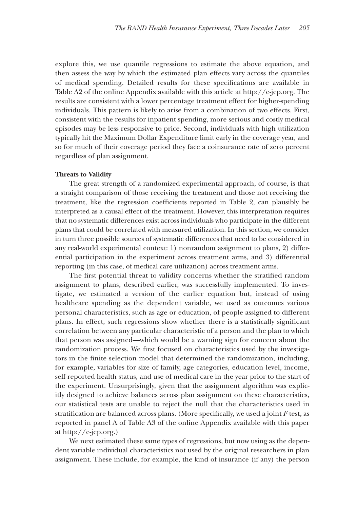explore this, we use quantile regressions to estimate the above equation, and then assess the way by which the estimated plan effects vary across the quantiles of medical spending. Detailed results for these specifications are available in Table A2 of the online Appendix available with this article at http://e-jep.org. The results are consistent with a lower percentage treatment effect for higher-spending individuals. This pattern is likely to arise from a combination of two effects. First, consistent with the results for inpatient spending, more serious and costly medical episodes may be less responsive to price. Second, individuals with high utilization pisodes may be less responsive to price. Second, individuals with high utilization typically hit the Maximum Dollar Expenditure limit early in the coverage year, and so for much of their coverage period they face a coinsurance rate of zero percent regardless of plan assignment.

#### **Threats to Validity**

The great strength of a randomized experimental approach, of course, is that a straight comparison of those receiving the treatment and those not receiving the treatment, like the regression coefficients reported in Table 2, can plausibly be interpreted as a causal effect of the treatment. However, this interpretation requires that no systematic differences exist across individuals who participate in the different hat no systematic differences exist across individuals who participate in the different plans that could be correlated with measured utilization. In this section, we consider in turn three possible sources of systematic differences that need to be considered in any real-world experimental context: 1) nonrandom assignment to plans, 2) differential participation in the experiment across treatment arms, and 3) differential reporting (in this case, of medical care utilization) across treatment arms.

The first potential threat to validity concerns whether the stratified random assignment to plans, described earlier, was successfully implemented. To investigate, we estimated a version of the earlier equation but, instead of using healthcare spending as the dependent variable, we used as outcomes various personal characteristics, such as age or education, of people assigned to different plans. In effect, such regressions show whether there is a statistically significant correlation between any particular characteristic of a person and the plan to which that person was assigned—which would be a warning sign for concern about the randomization process. We first focused on characteristics used by the investigators in the finite selection model that determined the randomization, including, for example, variables for size of family, age categories, education level, income, self-reported health status, and use of medical care in the year prior to the start of the experiment. Unsurprisingly, given that the assignment algorithm was explicitly designed to achieve balances across plan assignment on these characteristics, our statistical tests are unable to reject the null that the characteristics used in stratification are balanced across plans. (More specifically, we used a joint *F*-test, as reported in panel A of Table A $3$  of the online Appendix available with this paper at http://e-jep.org.) t

We next estimated these same types of regressions, but now using as the dependent variable individual characteristics not used by the original researchers in plan assignment. These include, for example, the kind of insurance (if any) the person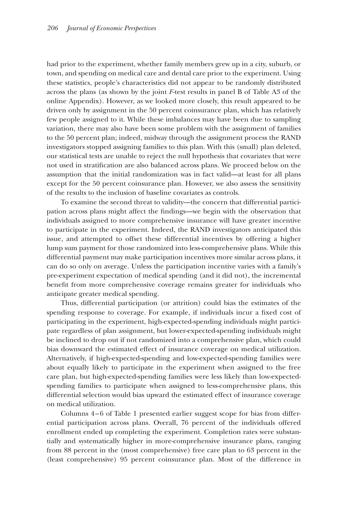had prior to the experiment, whether family members grew up in a city, suburb, or town, and spending on medical care and dental care prior to the experiment. Using these statistics, people's characteristics did not appear to be randomly distributed hese statistics, people's characteristics did not appear to be randomly distributed across the plans (as shown by the joint *F*-test results in panel B of Table A3 of the online Appendix). However, as we looked more closely, this result appeared to be nline Appendix). However, as we looked more closely, this result appeared to be driven only by assignment in the 50 percent coinsurance plan, which has relatively few people assigned to it. While these imbalances may have been due to sampling variation, there may also have been some problem with the assignment of families to the 50 percent plan; indeed, midway through the assignment process the RAND investigators stopped assigning families to this plan. With this (small) plan deleted, our statistical tests are unable to reject the null hypothesis that covariates that were not used in stratification are also balanced across plans. We proceed below on the assumption that the initial randomization was in fact valid—at least for all plans ssumption that the initial randomization was in fact valid—at least for all plans except for the 50 percent coinsurance plan. However, we also assess the sensitivity of the results to the inclusion of baseline covariates as controls.

To examine the second threat to validity—the concern that differential participation across plans might affect the findings—we begin with the observation that individuals assigned to more comprehensive insurance will have greater incentive to participate in the experiment. Indeed, the RAND investigators anticipated this issue, and attempted to offset these differential incentives by offering a higher lump sum payment for those randomized into less-comprehensive plans. While this differential payment may make participation incentives more similar across plans, it can do so only on average. Unless the participation incentive varies with a family's pre-experiment expectation of medical spending (and it did not), the incremental benefit from more comprehensive coverage remains greater for individuals who anticipate greater medical spending.

Thus, differential participation (or attrition) could bias the estimates of the spending response to coverage. For example, if individuals incur a fixed cost of participating in the experiment, high-expected-spending individuals might participate regardless of plan assignment, but lower-expected-spending individuals might be inclined to drop out if not randomized into a comprehensive plan, which could bias downward the estimated effect of insurance coverage on medical utilization. Alternatively, if high-expected-spending and low-expected-spending families were about equally likely to participate in the experiment when assigned to the free care plan, but high-expected-spending families were less likely than low-expectedspending families to participate when assigned to less-comprehensive plans, this differential selection would bias upward the estimated effect of insurance coverage on medical utilization.

Columns  $4-6$  of Table 1 presented earlier suggest scope for bias from differential participation across plans. Overall, 76 percent of the individuals offered enrollment ended up completing the experiment. Completion rates were substantially and systematically higher in more-comprehensive insurance plans, ranging from 88 percent in the (most comprehensive) free care plan to 63 percent in the (least comprehensive) 95 percent coinsurance plan. Most of the difference in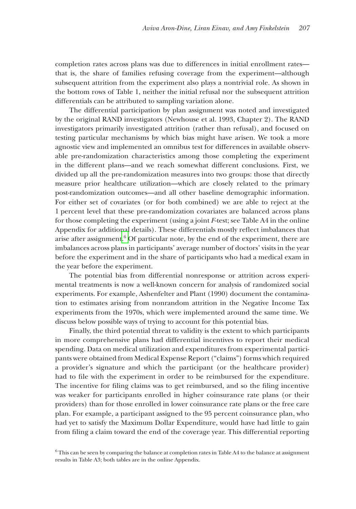completion rates across plans was due to differences in initial enrollment rates that is, the share of families refusing coverage from the experiment—although hat is, the share of families refusing coverage from the experiment—although subsequent attrition from the experiment also plays a nontrivial role. As shown in the bottom rows of Table 1, neither the initial refusal nor the subsequent attrition differentials can be attributed to sampling variation alone.

The differential participation by plan assignment was noted and investigated by the original RAND investigators (Newhouse et al. 1993, Chapter 2). The RAND investigators primarily investigated attrition (rather than refusal), and focused on testing particular mechanisms by which bias might have arisen. We took a more agnostic view and implemented an omnibus test for differences in available observable pre-randomization characteristics among those completing the experiment in the different plans—and we reach somewhat different conclusions. First, we divided up all the pre-randomization measures into two groups: those that directly measure prior healthcare utilization—which are closely related to the primary post-randomization outcomes—and all other baseline demographic information. For either set of covariates (or for both combined) we are able to reject at the 1 percent level that these pre-randomization covariates are balanced across plans for those completing the experiment (using a joint *F*-test; see Table A4 in the online Appendix for additional details). These differentials mostly reflect imbalances that arise after assignment. $^6$  Of particular note, by the end of the experiment, there are imbalances across plans in participants' average number of doctors' visits in the year mbalances across plans in participants' average number of doctors' visits in the year before the experiment and in the share of participants who had a medical exam in the year before the experiment.

The potential bias from differential nonresponse or attrition across experimental treatments is now a well-known concern for analysis of randomized social experiments. For example, Ashenfelter and Plant (1990) document the contamination to estimates arising from nonrandom attrition in the Negative Income Tax experiments from the 1970s, which were implemented around the same time. We discuss below possible ways of trying to account for this potential bias.

Finally, the third potential threat to validity is the extent to which participants in more comprehensive plans had differential incentives to report their medical spending. Data on medical utilization and expenditures from experimental participants were obtained from Medical Expense Report ("claims") forms which required a provider's signature and which the participant (or the healthcare provider) had to file with the experiment in order to be reimbursed for the expenditure. The incentive for filing claims was to get reimbursed, and so the filing incentive was weaker for participants enrolled in higher coinsurance rate plans (or their providers) than for those enrolled in lower coinsurance rate plans or the free care plan. For example, a participant assigned to the 95 percent coinsurance plan, who had yet to satisfy the Maximum Dollar Expenditure, would have had little to gain from filing a claim toward the end of the coverage year. This differential reporting

6 This can be seen by comparing the balance at completion rates in Table A4 to the balance at assignment results in Table A3; both tables are in the online Appendix.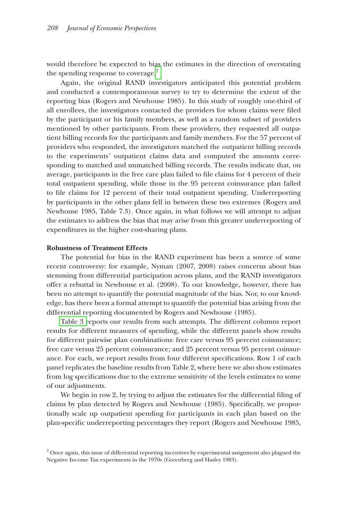would therefore be expected to bias the estimates in the direction of overstating the spending response to coverage.<sup>7</sup>

Again, the original RAND investigators anticipated this potential problem gain, the original RAND investigators anticipated this potential problem and conducted a contemporaneous survey to try to determine the extent of the reporting bias (Rogers and Newhouse 1985). In this study of roughly one-third of all enrollees, the investigators contacted the providers for whom claims were filed by the participant or his family members, as well as a random subset of providers mentioned by other participants. From these providers, they requested all outpatient billing records for the participants and family members. For the 57 percent of providers who responded, the investigators matched the outpatient billing records to the experiments' outpatient claims data and computed the amounts corresponding to matched and unmatched billing records. The results indicate that, on average, participants in the free care plan failed to file claims for 4 percent of their total outpatient spending, while those in the 95 percent coinsurance plan failed to file claims for 12 percent of their total outpatient spending. Underreporting by participants in the other plans fell in between these two extremes (Rogers and Newhouse 1985, Table 7.3). Once again, in what follows we will attempt to adjust the estimates to address the bias that may arise from this greater underreporting of expenditures in the higher cost-sharing plans.

#### **Robustness of Treatment Effects**

The potential for bias in the RAND experiment has been a source of some recent controversy: for example, Nyman (2007, 2008) raises concerns about bias stemming from differential participation across plans, and the RAND investigators offer a rebuttal in Newhouse et al. (2008). To our knowledge, however, there has been no attempt to quantify the potential magnitude of the bias. Nor, to our knowledge, has there been a formal attempt to quantify the potential bias arising from the differential reporting documented by Rogers and Newhouse (1985).

[Table 3 r](#page-12-0)eports our results from such attempts. The different columns report results for different measures of spending, while the different panels show results for different pairwise plan combinations: free care versus 95 percent coinsurance; free care versus 25 percent coinsurance; and 25 percent versus 95 percent coinsur- ree care versus 25 percent coinsurance; and 25 percent versus 95 percent coinsurance. For each, we report results from four different specifications. Row 1 of each panel replicates the baseline results from Table 2, where here we also show estimates from log specifications due to the extreme sensitivity of the levels estimates to some of our adjustments.

We begin in row 2, by trying to adjust the estimates for the differential filing of claims by plan detected by Rogers and Newhouse (1985). Specifically, we proportionally scale up outpatient spending for participants in each plan based on the plan-specific underreporting percentages they report (Rogers and Newhouse 1985,

 $<sup>7</sup>$  Once again, this issue of differential reporting incentives by experimental assignment also plagued the</sup> Negative Income Tax experiments in the 1970s (Greenberg and Hasley 1983).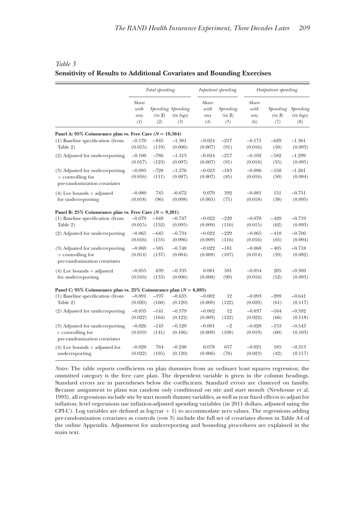<span id="page-12-0"></span>

| Table 3 |  |                                                                               |  |
|---------|--|-------------------------------------------------------------------------------|--|
|         |  | <b>Sensitivity of Results to Additional Covariates and Bounding Exercises</b> |  |

|                                                                                        | Total spending                     |                              | Inpatient spending                               |                                    | Outpatient spending                      |                                    |                                            |                                         |
|----------------------------------------------------------------------------------------|------------------------------------|------------------------------|--------------------------------------------------|------------------------------------|------------------------------------------|------------------------------------|--------------------------------------------|-----------------------------------------|
|                                                                                        | <b>Share</b><br>with<br>any<br>(I) | $(in \, \mathcal{L})$<br>(2) | Spending Spending<br>$(in \text{ } logs)$<br>(3) | <b>Share</b><br>with<br>any<br>(4) | Spending<br>$(in \, \frac{2}{3})$<br>(5) | <b>Share</b><br>with<br>any<br>(6) | Spending<br>$(in \, \frac{\pi}{6})$<br>(7) | Spending<br>$(in \text{ } logs)$<br>(8) |
| Panel A: 95% Coinsurance plan vs. Free Care ( $N = 10,564$ )                           |                                    |                              |                                                  |                                    |                                          |                                    |                                            |                                         |
| (1) Baseline specification (from                                                       | $-0.170$                           | $-845$                       | $-1.381$                                         | $-0.024$                           | $-217$                                   | $-0.171$                           | $-629$                                     | $-1.361$                                |
| Table 2)                                                                               | (0.015)                            | (119)                        | (0.096)                                          | (0.007)                            | (91)                                     | (0.016)                            | (50)                                       | (0.093)                                 |
| (2) Adjusted for underreporting                                                        | $-0.100$                           | $-786$                       | $-1.313$                                         | $-0.024$                           | $-217$                                   | $-0.102$                           | $-582$                                     | $-1.299$                                |
|                                                                                        | (0.017)                            | (123)                        | (0.097)                                          | (0.007)                            | (91)                                     | (0.018)                            | (55)                                       | (0.095)                                 |
| (3) Adjusted for underreporting<br>$+$ controlling for<br>pre-randomization covariates | $-0.095$<br>(0.016)                | $-728$<br>(111)              | $-1.276$<br>(0.087)                              | $-0.023$<br>(0.007)                | $-183$<br>(85)                           | $-0.096$<br>(0.016)                | $-558$<br>(50)                             | $-1.261$<br>(0.084)                     |
| $(4)$ Lee bounds + adjusted                                                            | $-0.080$                           | 745                          | $-0.672$                                         | 0.079                              | 592                                      | $-0.081$                           | 151                                        | $-0.751$                                |
| for underreporting                                                                     | (0.018)                            | (96)                         | (0.098)                                          | (0.005)                            | (71)                                     | (0.018)                            | (38)                                       | (0.095)                                 |
| Panel B: 25% Coinsurance plan vs. Free Care $(N = 9,201)$                              |                                    |                              |                                                  |                                    |                                          |                                    |                                            |                                         |
| (1) Baseline specification (from                                                       | $-0.079$                           | $-648$                       | $-0.747$                                         | $-0.022$                           | $-229$                                   | $-0.078$                           | $-420$                                     | $-0.719$                                |
| Table 2)                                                                               | (0.015)                            | (152)                        | (0.095)                                          | (0.009)                            | (116)                                    | (0.015)                            | (62)                                       | (0.093)                                 |
| (2) Adjusted for underreporting                                                        | $-0.065$                           | $-645$                       | $-0.734$                                         | $-0.022$                           | $-229$                                   | $-0.065$                           | $-418$                                     | $-0.706$                                |
|                                                                                        | (0.016)                            | (155)                        | (0.096)                                          | (0.009)                            | (116)                                    | (0.016)                            | (65)                                       | (0.094)                                 |
| (3) Adjusted for underreporting<br>$+$ controlling for<br>pre-randomization covariates | $-0.069$<br>(0.014)                | $-585$<br>(137)              | $-0.748$<br>(0.084)                              | $-0.022$<br>(0.008)                | $-181$<br>(107)                          | $-0.068$<br>(0.014)                | $-405$<br>(59)                             | $-0.718$<br>(0.082)                     |
| $(4)$ Lee bounds $+$ adjusted                                                          | $-0.055$                           | 639                          | $-0.335$                                         | 0.081                              | 581                                      | $-0.054$                           | 205                                        | $-0.369$                                |
| for underreporting                                                                     | (0.016)                            | (133)                        | (0.096)                                          | (0.008)                            | (99)                                     | (0.016)                            | (52)                                       | (0.093)                                 |
| Panel C: 95% Coinsurance plan vs. 25% Coinsurance plan $(N = 6,085)$                   |                                    |                              |                                                  |                                    |                                          |                                    |                                            |                                         |
| (1) Baseline specification (from                                                       | $-0.091$                           | $-197$                       | $-0.633$                                         | $-0.002$                           | 12                                       | $-0.093$                           | $-209$                                     | $-0.641$                                |
| Table 2)                                                                               | (0.020)                            | (160)                        | (0.120)                                          | (0.009)                            | (122)                                    | (0.020)                            | (61)                                       | (0.117)                                 |
| (2) Adjusted for underreporting                                                        | $-0.035$                           | $-141$                       | $-0.579$                                         | $-0.002$                           | 12                                       | $-0.037$                           | $-164$                                     | $-0.592$                                |
|                                                                                        | (0.022)                            | (164)                        | (0.122)                                          | (0.009)                            | (122)                                    | (0.022)                            | (66)                                       | (0.118)                                 |
| (3) Adjusted for underreporting<br>$+$ controlling for<br>pre-randomization covariates | $-0.026$<br>(0.019)                | $-143$<br>(141)              | $-0.529$<br>(0.106)                              | $-0.001$<br>(0.009)                | $-2$<br>(108)                            | $-0.028$<br>(0.019)                | $-153$<br>(60)                             | $-0.543$<br>(0.103)                     |
| $(4)$ Lee bounds $+$ adjusted for                                                      | $-0.020$                           | 764                          | $-0.248$                                         | 0.078                              | 657                                      | $-0.021$                           | 185                                        | $-0.313$                                |
| underreporting                                                                         | (0.022)                            | (105)                        | (0.120)                                          | (0.006)                            | (78)                                     | (0.023)                            | (42)                                       | (0.117)                                 |

*Notes:* The table reports coefficients on plan dummies from an ordinary least squares regression; the ommitted category is the free care plan. The dependent variable is given in the column headings. Standard errors are in parentheses below the coefficients. Standard errors are clustered on familiy. Because assignment to plans was random only conditional on site and start month (Newhouse et al. 1993), all regressions include site by start month dummy variables, as well as year fixed effects to adjust for inflation; level regressions use inflation-adjusted spending variables (in 2011 dollars, adjusted using the CPI-U). Log variables are defined as  $log(var + 1)$  to accommodate zero values. The regressions adding pre-randomization covariates as controls (row 3) include the full set of covariates shown in Table A4 of the online Appendix. Adjustment for underreporting and bounding procedures are explained in the main text.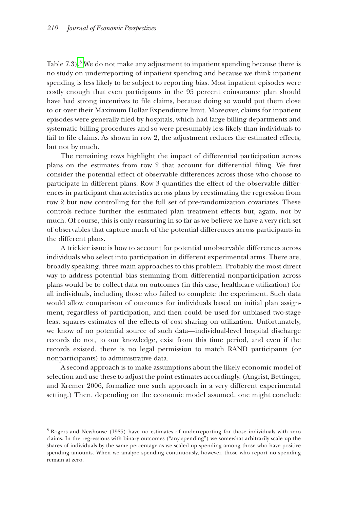Table  $7.3$ ).<sup>8</sup> We do not make any adjustment to inpatient spending because there is no study on underreporting of inpatient spending and because we think inpatient spending is less likely to be subject to reporting bias. Most inpatient episodes were costly enough that even participants in the 95 percent coinsurance plan should have had strong incentives to file claims, because doing so would put them close to or over their Maximum Dollar Expenditure limit. Moreover, claims for inpatient episodes were generally filed by hospitals, which had large billing departments and systematic billing procedures and so were presumably less likely than individuals to fail to file claims. As shown in row 2, the adjustment reduces the estimated effects, but not by much.

The remaining rows highlight the impact of differential participation across plans on the estimates from row 2 that account for differential filing. We first consider the potential effect of observable differences across those who choose to participate in different plans. Row 3 quantifies the effect of the observable differences in participant characteristics across plans by reestimating the regression from row 2 but now controlling for the full set of pre-randomization covariates. These controls reduce further the estimated plan treatment effects but, again, not by much. Of course, this is only reassuring in so far as we believe we have a very rich set of observables that capture much of the potential differences across participants in the different plans.

A trickier issue is how to account for potential unobservable differences across individuals who select into participation in different experimental arms. There are, broadly speaking, three main approaches to this problem. Probably the most direct way to address potential bias stemming from differential nonparticipation across plans would be to collect data on outcomes (in this case, healthcare utilization) for all individuals, including those who failed to complete the experiment. Such data ll individuals, including those who failed to complete the experiment. Such data would allow comparison of outcomes for individuals based on initial plan assignment, regardless of participation, and then could be used for unbiased two-stage least squares estimates of the effects of cost sharing on utilization. Unfortunately, we know of no potential source of such data—individual-level hospital discharge records do not, to our knowledge, exist from this time period, and even if the records existed, there is no legal permission to match RAND participants (or nonparticipants) to administrative data.

A second approach is to make assumptions about the likely economic model of selection and use these to adjust the point estimates accordingly. (Angrist, Bettinger, and Kremer 2006, formalize one such approach in a very different experimental setting.) Then, depending on the economic model assumed, one might conclude

<sup>8</sup> Rogers and Newhouse (1985) have no estimates of underreporting for those individuals with zero claims. In the regressions with binary outcomes ("any spending") we somewhat arbitrarily scale up the shares of individuals by the same percentage as we scaled up spending among those who have positive spending amounts. When we analyze spending continuously, however, those who report no spending remain at zero.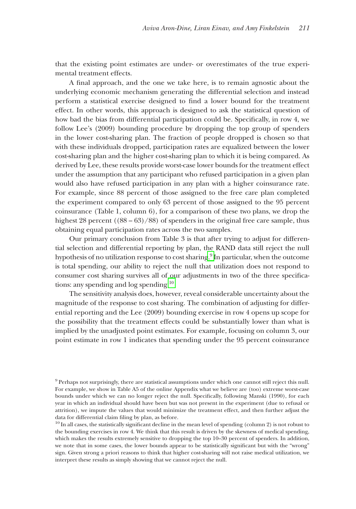that the existing point estimates are under- or overestimates of the true experimental treatment effects.

A final approach, and the one we take here, is to remain agnostic about the underlying economic mechanism generating the differential selection and instead perform a statistical exercise designed to find a lower bound for the treatment effect. In other words, this approach is designed to ask the statistical question of ffect. In other words, this approach is designed to ask the statistical question of how bad the bias from differential participation could be. Specifically, in row 4, we follow Lee's (2009) bounding procedure by dropping the top group of spenders in the lower cost-sharing plan. The fraction of people dropped is chosen so that with these individuals dropped, participation rates are equalized between the lower cost-sharing plan and the higher cost-sharing plan to which it is being compared. As derived by Lee, these results provide worst-case lower bounds for the treatment effect under the assumption that any participant who refused participation in a given plan would also have refused participation in any plan with a higher coinsurance rate. For example, since 88 percent of those assigned to the free care plan completed the experiment compared to only 63 percent of those assigned to the 95 percent coinsurance (Table 1, column 6), for a comparison of these two plans, we drop the highest 28 percent  $((88 – 63)/88)$  of spenders in the original free care sample, thus obtaining equal participation rates across the two samples.

Our primary conclusion from Table 3 is that after trying to adjust for differential selection and differential reporting by plan, the RAND data still reject the null hypothesis of no utilization response to cost sharing.<sup>9</sup> In particular, when the outcome is total spending, our ability to reject the null that utilization does not respond to consumer cost sharing survives all of our adjustments in two of the three specifications: any spending and log spending. $^{10}$ 

The sensitivity analysis does, however, reveal considerable uncertainty about the magnitude of the response to cost sharing. The combination of adjusting for differential reporting and the Lee (2009) bounding exercise in row 4 opens up scope for ntial reporting and the Lee (2009) bounding exercise in row 4 opens up scope for the possibility that the treatment effects could be substantially lower than what is implied by the unadjusted point estimates. For example, focusing on column 3, our point estimate in row 1 indicates that spending under the 95 percent coinsurance

<sup>9</sup> Perhaps not surprisingly, there are statistical assumptions under which one cannot still reject this null. For example, we show in Table A5 of the online Appendix what we believe are (too) extreme worst-case bounds under which we can no longer reject the null. Specifically, following Manski (1990), for each year in which an individual should have been but was not present in the experiment (due to refusal or attrition), we impute the values that would minimize the treatment effect, and then further adjust the data for differential claim filing by plan, as before.<br><sup>10</sup> In all cases, the statistically significant decline in the mean level of spending (column 2) is not robust to

the bounding exercises in row 4. We think that this result is driven by the skewness of medical spending, which makes the results extremely sensitive to dropping the top 10–30 percent of spenders. In addition, we note that in some cases, the lower bounds appear to be statistically significant but with the "wrong" sign. Given strong a priori reasons to think that higher cost-sharing will not raise medical utilization, we interpret these results as simply showing that we cannot reject the null.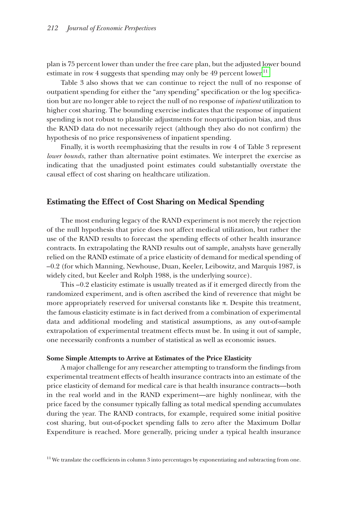plan is 75 percent lower than under the free care plan, but the adjusted lower bound estimate in row 4 suggests that spending may only be 49 percent lower.<sup>11</sup>

Table 3 also shows that we can continue to reject the null of no response of outpatient spending for either the "any spending" specification or the log specification but are no longer able to reject the null of no response of *inpatient* utilization to higher cost sharing. The bounding exercise indicates that the response of inpatient spending is not robust to plausible adjustments for nonparticipation bias, and thus the RAND data do not necessarily reject (although they also do not confirm) the hypothesis of no price responsiveness of inpatient spending.

Finally, it is worth reemphasizing that the results in row 4 of Table 3 represent *lower bounds*, rather than alternative point estimates. We interpret the exercise as indicating that the unadjusted point estimates could substantially overstate the causal effect of cost sharing on healthcare utilization.

# **Estimating the Effect of Cost Sharing on Medical Spending**

The most enduring legacy of the RAND experiment is not merely the rejection of the null hypothesis that price does not affect medical utilization, but rather the use of the RAND results to forecast the spending effects of other health insurance contracts. In extrapolating the RAND results out of sample, analysts have generally relied on the RAND estimate of a price elasticity of demand for medical spending of – 0.2 (for which Manning, Newhouse, Duan, Keeler, Leibowitz, and Marquis 1987, is 0.2 (for which Manning, Newhouse, Duan, Keeler, Leibowitz, and Marquis 1987, is widely cited, but Keeler and Rolph 1988, is the underlying source).

This –0.2 elasticity estimate is usually treated as if it emerged directly from the randomized experiment, and is often ascribed the kind of reverence that might be more appropriately reserved for universal constants like π. Despite this treatment, the famous elasticity estimate is in fact derived from a combination of experimental data and additional modeling and statistical assumptions, as any out-of-sample extrapolation of experimental treatment effects must be. In using it out of sample, one necessarily confronts a number of statistical as well as economic issues.

#### **Some Simple Attempts to Arrive at Estimates of the Price Elasticity**

A major challenge for any researcher attempting to transform the findings from experimental treatment effects of health insurance contracts into an estimate of the price elasticity of demand for medical care is that health insurance contracts—both in the real world and in the RAND experiment—are highly nonlinear, with the price faced by the consumer typically falling as total medical spending accumulates during the year. The RAND contracts, for example, required some initial positive cost sharing, but out-of-pocket spending falls to zero after the Maximum Dollar Expenditure is reached. More generally, pricing under a typical health insurance

 $^{11}$  We translate the coefficients in column  $3$  into percentages by exponentiating and subtracting from one.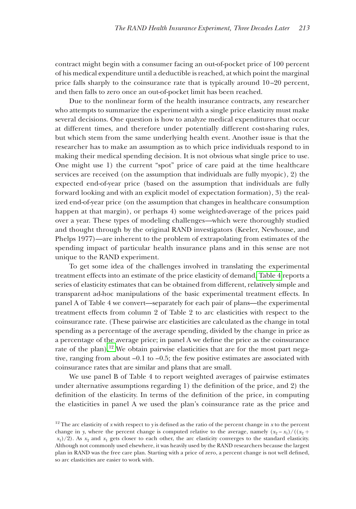contract might begin with a consumer facing an out-of-pocket price of 100 percent of his medical expenditure until a deductible is reached, at which point the marginal price falls sharply to the coinsurance rate that is typically around  $10-20$  percent, and then falls to zero once an out-of-pocket limit has been reached.

Due to the nonlinear form of the health insurance contracts, any researcher who attempts to summarize the experiment with a single price elasticity must make several decisions. One question is how to analyze medical expenditures that occur at different times, and therefore under potentially different cost-sharing rules, but which stem from the same underlying health event. Another issue is that the researcher has to make an assumption as to which price individuals respond to in making their medical spending decision. It is not obvious what single price to use. One might use 1) the current "spot" price of care paid at the time healthcare services are received (on the assumption that individuals are fully myopic), 2) the expected end-of-year price (based on the assumption that individuals are fully forward looking and with an explicit model of expectation formation), 3) the realized end-of-year price (on the assumption that changes in healthcare consumption happen at that margin), or perhaps 4) some weighted-average of the prices paid over a year. These types of modeling challenges—which were thoroughly studied and thought through by the original RAND investigators (Keeler, Newhouse, and Phelps 1977)—are inherent to the problem of extrapolating from estimates of the spending impact of particular health insurance plans and in this sense are not unique to the RAND experiment.

To get some idea of the challenges involved in translating the experimental treatment effects into an estimate of the price elasticity of demand[, Table 4](#page-17-0) reports a series of elasticity estimates that can be obtained from different, relatively simple and transparent ad-hoc manipulations of the basic experimental treatment effects. In panel A of Table 4 we convert—separately for each pair of plans—the experimental treatment effects from column 2 of Table 2 to arc elasticities with respect to the coinsurance rate. (These pairwise arc elasticities are calculated as the change in total spending as a percentage of the average spending, divided by the change in price as a percentage of the average price; in panel A we define the price as the coinsurance rate of the plan).<sup>12</sup> We obtain pairwise elasticities that are for the most part negative, ranging from about  $-0.1$  to  $-0.5$ ; the few positive estimates are associated with coinsurance rates that are similar and plans that are small.

We use panel B of Table 4 to report weighted averages of pairwise estimates under alternative assumptions regarding 1) the definition of the price, and 2) the definition of the elasticity. In terms of the definition of the price, in computing the elasticities in panel A we used the plan's coinsurance rate as the price and

<sup>&</sup>lt;sup>12</sup> The arc elasticity of *x* with respect to *y* is defined as the ratio of the percent change in *x* to the percent change in *y*, where the percent change is computed relative to the average, namely  $(x_2 - x_1) / ((x_2 + x_1))^2$  $x_1$ )/2). As  $x_2$  and  $x_1$  gets closer to each other, the arc elasticity converges to the standard elasticity. Although not commonly used elsewhere, it was heavily used by the RAND researchers because the largest plan in RAND was the free care plan. Starting with a price of zero, a percent change is not well defined, so arc elasticities are easier to work with.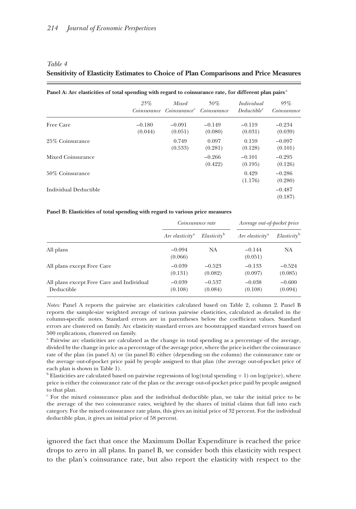# <span id="page-17-0"></span>*Table 4* **Sensitivity of Elasticity Estimates to Choice of Plan Comparisons and Price Measures**

| Panel A: Arc elasticities of total spending with regard to coinsurance rate, for different plan pairs <sup>a</sup> |                     |                                               |                     |                                       |                     |  |
|--------------------------------------------------------------------------------------------------------------------|---------------------|-----------------------------------------------|---------------------|---------------------------------------|---------------------|--|
|                                                                                                                    | 25%<br>Coinsurance  | Mixed<br>Coinsurance <sup>c</sup> Coinsurance | $50\%$              | Individual<br>Deductible <sup>c</sup> | 95%<br>Coinsurance  |  |
| Free Care                                                                                                          | $-0.180$<br>(0.044) | $-0.091$<br>(0.051)                           | $-0.149$<br>(0.080) | $-0.119$<br>(0.031)                   | $-0.234$<br>(0.039) |  |
| 25% Coinsurance                                                                                                    |                     | 0.749<br>(0.533)                              | 0.097<br>(0.281)    | 0.159<br>(0.128)                      | $-0.097$<br>(0.101) |  |
| Mixed Coinsurance                                                                                                  |                     |                                               | $-0.266$<br>(0.422) | $-0.101$<br>(0.195)                   | $-0.295$<br>(0.126) |  |
| 50% Coinsurance                                                                                                    |                     |                                               |                     | 0.429<br>(1.176)                      | $-0.286$<br>(0.280) |  |
| Individual Deductible                                                                                              |                     |                                               |                     |                                       | $-0.487$<br>(0.187) |  |

# **Panel B: Elasticities of total spending with regard to various price measures**

|                                                         | Coinsurance rate              |                         | Average out-of-pocket price   |                         |  |
|---------------------------------------------------------|-------------------------------|-------------------------|-------------------------------|-------------------------|--|
|                                                         | $Arc$ elasticity <sup>a</sup> | Elasticity <sup>b</sup> | $Arc$ elasticity <sup>a</sup> | Elasticity <sup>b</sup> |  |
| All plans                                               | $-0.094$<br>(0.066)           | NA                      | $-0.144$<br>(0.051)           | NA                      |  |
| All plans except Free Care                              | $-0.039$<br>(0.131)           | $-0.523$<br>(0.082)     | $-0.133$<br>(0.097)           | $-0.524$<br>(0.085)     |  |
| All plans except Free Care and Individual<br>Deductible | $-0.039$<br>(0.108)           | $-0.537$<br>(0.084)     | $-0.038$<br>(0.108)           | $-0.600$<br>(0.094)     |  |

*Notes:* Panel A reports the pairwise arc elasticities calculated based on Table 2, column 2. Panel B reports the sample-size weighted average of various pairwise elasticities, calculated as detailed in the column-specific notes. Standard errors are in parentheses below the coefficient values. Standard errors are clustered on family. Arc elasticity standard errors are bootstrapped standard errors based on 500 replications, clustered on family.

<sup>a</sup> Pairwise arc elasticities are calculated as the change in total spending as a percentage of the average, divided by the change in price as a percentage of the average price, where the price is either the coinsurance rate of the plan (in panel A) or (in panel B) either (depending on the column) the coinsurance rate or the average out-of-pocket price paid by people assigned to that plan (the average out-of-pocket price of each plan is shown in Table 1).

 $b$  Elasticities are calculated based on pairwise regressions of log(total spending  $+1$ ) on log(price), where price is either the coinsurance rate of the plan or the average out-of-pocket price paid by people assigned to that plan.

c For the mixed coinsurance plan and the individual deductible plan, we take the initial price to be the average of the two coinsurance rates, weighted by the shares of initial claims that fall into each category. For the mixed coinsurance rate plans, this gives an initial price of 32 percent. For the individual deductible plan, it gives an initial price of 58 percent.

ignored the fact that once the Maximum Dollar Expenditure is reached the price drops to zero in all plans. In panel B, we consider both this elasticity with respect to the plan's coinsurance rate, but also report the elasticity with respect to the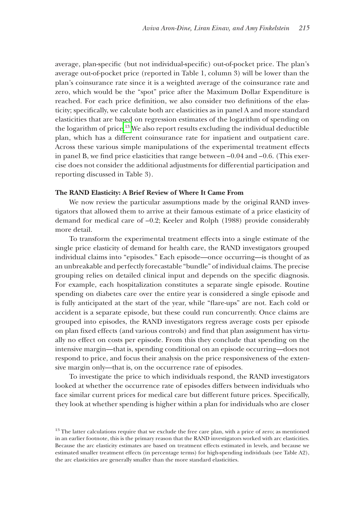average, plan-specific (but not individual-specific) out-of-pocket price. The plan's average out-of-pocket price (reported in Table 1, column 3) will be lower than the plan's coinsurance rate since it is a weighted average of the coinsurance rate and lan's coinsurance rate since it is a weighted average of the coinsurance rate and zero, which would be the "spot" price after the Maximum Dollar Expenditure is reached. For each price definition, we also consider two definitions of the elasticity; specifically, we calculate both arc elasticities as in panel A and more standard elasticities that are based on regression estimates of the logarithm of spending on the logarithm of price.<sup>13</sup> We also report results excluding the individual deductible plan, which has a different coinsurance rate for inpatient and outpatient care. Across these various simple manipulations of the experimental treatment effects in panel B, we find price elasticities that range between  $-0.04$  and  $-0.6$ . (This exercise does not consider the additional adjustments for differential participation and reporting discussed in Table 3).

#### **The RAND Elasticity: A** Brief Review of Where It Came From

We now review the particular assumptions made by the original RAND investigators that allowed them to arrive at their famous estimate of a price elasticity of igators that allowed them to arrive at their famous estimate of a price elasticity of demand for medical care of –0.2; Keeler and Rolph (1988) provide considerably more detail.

To transform the experimental treatment effects into a single estimate of the single price elasticity of demand for health care, the RAND investigators grouped individual claims into "episodes." Each episode—once occurring—is thought of as an unbreakable and perfectly forecastable "bundle" of individual claims. The precise grouping relies on detailed clinical input and depends on the specific diagnosis. For example, each hospitalization constitutes a separate single episode. Routine spending on diabetes care over the entire year is considered a single episode and is fully anticipated at the start of the year, while "flare-ups" are not. Each cold or accident is a separate episode, but these could run concurrently. Once claims are grouped into episodes, the RAND investigators regress average costs per episode on plan fixed effects (and various controls) and find that plan assignment has virtually no effect on costs per episode. From this they conclude that spending on the intensive margin—that is, spending conditional on an episode occurring—does not respond to price, and focus their analysis on the price responsiveness of the extensive margin only—that is, on the occurrence rate of episodes.

To investigate the price to which individuals respond, the RAND investigators looked at whether the occurrence rate of episodes differs between individuals who face similar current prices for medical care but different future prices. Specifically, they look at whether spending is higher within a plan for individuals who are closer

 $13$  The latter calculations require that we exclude the free care plan, with a price of zero; as mentioned in an earlier footnote, this is the primary reason that the RAND investigators worked with arc elasticities. Because the arc elasticity estimates are based on treatment effects estimated in levels, and because we estimated smaller treatment effects (in percentage terms) for high-spending individuals (see Table A2), the arc elasticities are generally smaller than the more standard elasticities.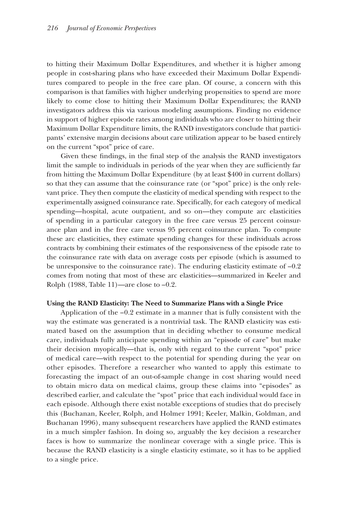to hitting their Maximum Dollar Expenditures, and whether it is higher among people in cost-sharing plans who have exceeded their Maximum Dollar Expenditures compared to people in the free care plan. Of course, a concern with this comparison is that families with higher underlying propensities to spend are more likely to come close to hitting their Maximum Dollar Expenditures; the RAND investigators address this via various modeling assumptions. Finding no evidence in support of higher episode rates among individuals who are closer to hitting their Maximum Dollar Expenditure limits, the RAND investigators conclude that participants' extensive margin decisions about care utilization appear to be based entirely on the current "spot" price of care.

Given these findings, in the final step of the analysis the RAND investigators limit the sample to individuals in periods of the year when they are sufficiently far from hitting the Maximum Dollar Expenditure (by at least \$400 in current dollars) so that they can assume that the coinsurance rate (or "spot" price) is the only relevant price. They then compute the elasticity of medical spending with respect to the experimentally assigned coinsurance rate. Specifically, for each category of medical spending—hospital, acute outpatient, and so on—they compute arc elasticities of spending in a particular category in the free care versus 25 percent coinsurance plan and in the free care versus 95 percent coinsurance plan. To compute these arc elasticities, they estimate spending changes for these individuals across contracts by combining their estimates of the responsiveness of the episode rate to the coinsurance rate with data on average costs per episode (which is assumed to be unresponsive to the coinsurance rate). The enduring elasticity estimate of  $-0.2$ comes from noting that most of these arc elasticities—summarized in Keeler and Rolph (1988, Table 11)—are close to  $-0.2$ .

#### **Using the RAND Elasticity: The Need to Summarize Plans with a Single Price**

Application of the  $-0.2$  estimate in a manner that is fully consistent with the way the estimate was generated is a nontrivial task. The RAND elasticity was estimated based on the assumption that in deciding whether to consume medical care, individuals fully anticipate spending within an "episode of care" but make their decision myopically—that is, only with regard to the current "spot" price heir decision myopically—that is, only with regard to the current "spot" price of medical care—with respect to the potential for spending during the year on other episodes. Therefore a researcher who wanted to apply this estimate to forecasting the impact of an out-of-sample change in cost sharing would need to obtain micro data on medical claims, group these claims into "episodes" as described earlier, and calculate the "spot" price that each individual would face in each episode. Although there exist notable exceptions of studies that do precisely this (Buchanan, Keeler, Rolph, and Holmer 1991; Keeler, Malkin, Goldman, and his (Buchanan, Keeler, Rolph, and Holmer 1991; Keeler, Malkin, Goldman, and Buchanan 1996), many subsequent researchers have applied the RAND estimates in a much simpler fashion. In doing so, arguably the key decision a researcher faces is how to summarize the nonlinear coverage with a single price. This is because the RAND elasticity is a single elasticity estimate, so it has to be applied to a single price.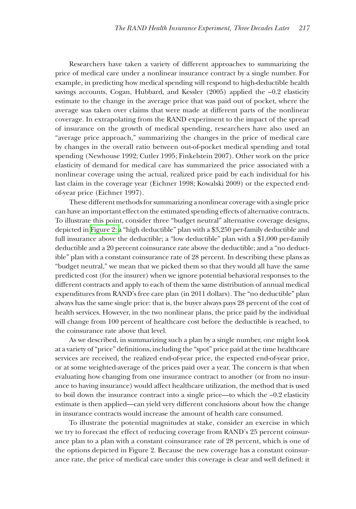Researchers have taken a variety of different approaches to summarizing the price of medical care under a nonlinear insurance contract by a single number. For example, in predicting how medical spending will respond to high-deductible health savings accounts, Cogan, Hubbard, and Kessler  $(2005)$  applied the  $-0.2$  elasticity estimate to the change in the average price that was paid out of pocket, where the average was taken over claims that were made at different parts of the nonlinear coverage. In extrapolating from the RAND experiment to the impact of the spread of insurance on the growth of medical spending, researchers have also used an "average price approach," summarizing the changes in the price of medical care by changes in the overall ratio between out-of-pocket medical spending and total spending (Newhouse 1992; Cutler 1995; Finkelstein 2007). Other work on the price elasticity of demand for medical care has summarized the price associated with a nonlinear coverage using the actual, realized price paid by each individual for his last claim in the coverage year (Eichner 1998; Kowalski 2009) or the expected endof-year price (Eichner 1997).

These different methods for summarizing a nonlinear coverage with a single price can have an important effect on the estimated spending effects of alternative contracts. To illustrate this point, consider three "budget neutral" alternative coverage designs, depicted in [Figure 2: a](#page-21-0) "high deductible" plan with a  $$3,250$  per-family deductible and full insurance above the deductible; a "low deductible" plan with a  $$1,000$  per-family deductible and a 20 percent coinsurance rate above the deductible; and a "no deductible" plan with a constant coinsurance rate of 28 percent. In describing these plans as "budget neutral," we mean that we picked them so that they would all have the same predicted cost (for the insurer) when we ignore potential behavioral responses to the different contracts and apply to each of them the same distribution of annual medical ifferent contracts and apply to each of them the same distribution of annual medical expenditures from RAND's free care plan (in 2011 dollars). The "no deductible" plan always has the same single price: that is, the buyer always pays 28 percent of the cost of health services. However, in the two nonlinear plans, the price paid by the individual will change from 100 percent of healthcare cost before the deductible is reached, to the coinsurance rate above that level.

As we described, in summarizing such a plan by a single number, one might look at a variety of "price" definitions, including the "spot" price paid at the time healthcare services are received, the realized end-of-year price, the expected end-of-year price, or at some weighted-average of the prices paid over a year. The concern is that when evaluating how changing from one insurance contract to another (or from no insurance to having insurance) would affect healthcare utilization, the method that is used to boil down the insurance contract into a single price—to which the  $-0.2$  elasticity estimate is then applied—can yield very different conclusions about how the change in insurance contracts would increase the amount of health care consumed.

To illustrate the potential magnitudes at stake, consider an exercise in which we try to forecast the effect of reducing coverage from RAND's 25 percent coinsurance plan to a plan with a constant coinsurance rate of 28 percent, which is one of the options depicted in Figure 2. Because the new coverage has a constant coinsurance rate, the price of medical care under this coverage is clear and well defined: it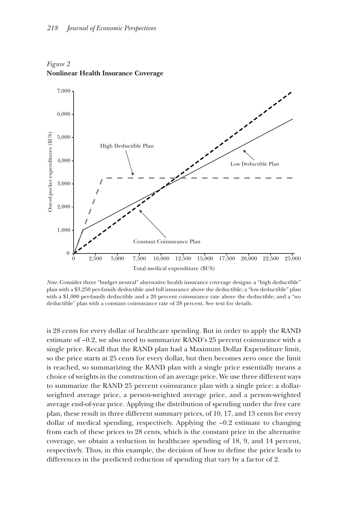

<span id="page-21-0"></span>*Figure 2* **Nonlinear Health Insurance Coverage**

*Note:* Consider three "budget neutral" alternative health insurance coverage designs: a "high deductible" plan with a \$3,250 per-family deductible and full insurance above the deductible; a "low deductible" plan with a \$1,000 per-family deductible and a 20 percent coinsurance rate above the deductible; and a "no deductible" plan with a constant coinsurance rate of 28 percent. See text for details.

is 28 cents for every dollar of healthcare spending. But in order to apply the RAND estimate of  $-0.2$ , we also need to summarize RAND's 25 percent coinsurance with a single price. Recall that the RAND plan had a Maximum Dollar Expenditure limit, so the price starts at 25 cents for every dollar, but then becomes zero once the limit is reached, so summarizing the RAND plan with a single price essentially means a choice of weights in the construction of an average price. We use three different ways to summarize the RAND 25 percent coinsurance plan with a single price: a dollarweighted average price, a person-weighted average price, and a person-weighted average end-of-year price. Applying the distribution of spending under the free care plan, these result in three different summary prices, of 10, 17, and 13 cents for every dollar of medical spending, respectively. Applying the  $-0.2$  estimate to changing from each of these prices to 28 cents, which is the constant price in the alternative coverage, we obtain a reduction in healthcare spending of  $18$ ,  $9$ , and  $14$  percent, respectively. Thus, in this example, the decision of how to define the price leads to differences in the predicted reduction of spending that vary by a factor of 2.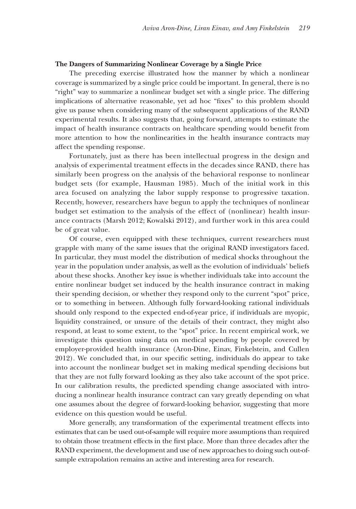#### **The Dangers of Summarizing Nonlinear Coverage by a Single Price**

The preceding exercise illustrated how the manner by which a nonlinear coverage is summarized by a single price could be important. In general, there is no "right" way to summarize a nonlinear budget set with a single price. The differing implications of alternative reasonable, yet ad hoc "fixes" to this problem should give us pause when considering many of the subsequent applications of the RAND experimental results. It also suggests that, going forward, attempts to estimate the impact of health insurance contracts on healthcare spending would benefit from more attention to how the nonlinearities in the health insurance contracts may affect the spending response.

Fortunately, just as there has been intellectual progress in the design and analysis of experimental treatment effects in the decades since RAND, there has similarly been progress on the analysis of the behavioral response to nonlinear budget sets (for example, Hausman 1985). Much of the initial work in this area focused on analyzing the labor supply response to progressive taxation. Recently, however, researchers have begun to apply the techniques of nonlinear budget set estimation to the analysis of the effect of (nonlinear) health insurance contracts (Marsh 2012; Kowalski 2012), and further work in this area could be of great value.

Of course, even equipped with these techniques, current researchers must grapple with many of the same issues that the original RAND investigators faced. In particular, they must model the distribution of medical shocks throughout the year in the population under analysis, as well as the evolution of individuals' beliefs about these shocks. Another key issue is whether individuals take into account the entire nonlinear budget set induced by the health insurance contract in making their spending decision, or whether they respond only to the current "spot" price, or to something in between. Although fully forward-looking rational individuals should only respond to the expected end-of-year price, if individuals are myopic, hould only respond to the expected end-of-year price, if individuals are myopic, liquidity constrained, or unsure of the details of their contract, they might also respond, at least to some extent, to the "spot" price. In recent empirical work, we investigate this question using data on medical spending by people covered by employer-provided health insurance (Aron-Dine, Einav, Finkelstein, and Cullen mployer-provided health insurance (Aron-Dine, Einav, Finkelstein, and Cullen  $2012$ ). We concluded that, in our specific setting, individuals do appear to take into account the nonlinear budget set in making medical spending decisions but that they are not fully forward looking as they also take account of the spot price. In our calibration results, the predicted spending change associated with introducing a nonlinear health insurance contract can vary greatly depending on what one assumes about the degree of forward-looking behavior, suggesting that more evidence on this question would be useful.

More generally, any transformation of the experimental treatment effects into estimates that can be used out-of-sample will require more assumptions than required to obtain those treatment effects in the first place. More than three decades after the RAND experiment, the development and use of new approaches to doing such out-ofsample extrapolation remains an active and interesting area for research.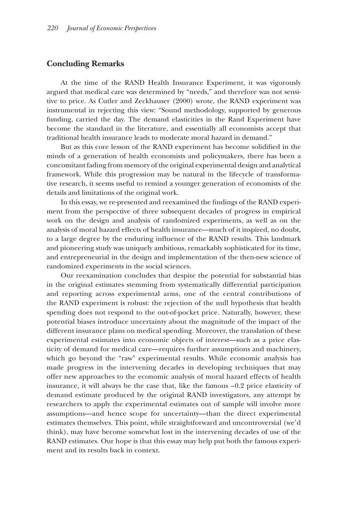#### **Concluding Remarks**

At the time of the RAND Health Insurance Experiment, it was vigorously argued that medical care was determined by "needs," and therefore was not sensitive to price. As Cutler and Zeckhauser (2000) wrote, the RAND experiment was instrumental in rejecting this view: "Sound methodology, supported by generous instrumental in rejecting this view: "Sound methodology, supported by generous funding, carried the day. The demand elasticities in the Rand Experiment have become the standard in the literature, and essentially all economists accept that traditional health insurance leads to moderate moral hazard in demand."

But as this core lesson of the RAND experiment has become solidified in the minds of a generation of health economists and policymakers, there has been a concomitant fading from memory of the original experimental design and analytical framework. While this progression may be natural in the lifecycle of transformative research, it seems useful to remind a younger generation of economists of the details and limitations of the original work.

In this essay, we re-presented and reexamined the findings of the RAND experiment from the perspective of three subsequent decades of progress in empirical work on the design and analysis of randomized experiments, as well as on the analysis of moral hazard effects of health insurance—much of it inspired, no doubt, to a large degree by the enduring influence of the RAND results. This landmark and pioneering study was uniquely ambitious, remarkably sophisticated for its time, and entrepreneurial in the design and implementation of the then-new science of randomized experiments in the social sciences.

Our reexamination concludes that despite the potential for substantial bias in the original estimates stemming from systematically differential participation and reporting across experimental arms, one of the central contributions of the RAND experiment is robust: the rejection of the null hypothesis that health spending does not respond to the out-of-pocket price. Naturally, however, these potential biases introduce uncertainty about the magnitude of the impact of the different insurance plans on medical spending. Moreover, the translation of these experimental estimates into economic objects of interest—such as a price elasticity of demand for medical care—requires further assumptions and machinery, icity of demand for medical care—requires further assumptions and machinery, which go beyond the "raw" experimental results. While economic analysis has made progress in the intervening decades in developing techniques that may offer new approaches to the economic analysis of moral hazard effects of health insurance, it will always be the case that, like the famous  $-0.2$  price elasticity of demand estimate produced by the original RAND investigators, any attempt by researchers to apply the experimental estimates out of sample will involve more assumptions—and hence scope for uncertainty—than the direct experimental estimates themselves. This point, while straightforward and uncontroversial (we'd think), may have become somewhat lost in the intervening decades of use of the RAND estimates. Our hope is that this essay may help put both the famous experiment and its results back in context.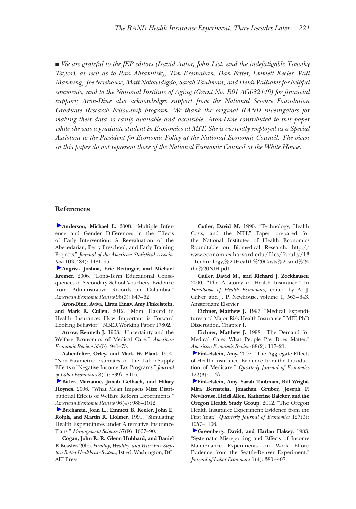■ *We are grateful to the JEP editors (David Autor, John List, and the indefatigable Timothy Taylor), as well as to Ran Abramitzky, Tim Bresnahan, Dan Fetter, Emmett Keeler, Will Manning, Joe Newhouse, Matt Notowidigdo, Sarah Taubman, and Heidi Williams for helpful comments, and to the National Institute of Aging (Grant No. R01 AG032449) for financial support; Aron-Dine also acknowledges support from the National Science Foundation Graduate Research Fellowship program. We thank the original RAND investigators for making their data so easily available and accessible. Aron-Dine contributed to this paper while she was a graduate student in Economics at MIT. She is currently employed as a Special Assistant to the President for Economic Policy at the National Economic Council. The views in this paper do not represent those of the National Economic Council or the White House.*

#### **References**

**Anderson, Michael L.** 2008. "Multiple Inference and Gender Differences in the Effects of Early Intervention: A Reevaluation of the Abecedarian, Perry Preschool, and Early Training Projects." *Journal of the American Statistical Association* 103(484): 1481–95.

**Angrist, Joshua, Eric Bettinger, and Michael Kremer.** 2006. "Long-Term Educational Consequences of Secondary School Vouchers: Evidence from Administrative Records in Columbia." *American Economic Review* 96(3): 847– 62.

**Aron-Dine, Aviva, Liran Einav, Amy Finkelstein, and Mark R. Cullen.** 2012. "Moral Hazard in Health Insurance: How Important is Forward Looking Behavior?" NBER Working Paper 17802.

**Arrow, Kenneth J.** 1963. "Uncertainty and the Welfare Economics of Medical Care." *American Economic Review* 53(5): 941–73.

**Ashenfelter, Orley, and Mark W. Plant.** 1990. "Non-Parametric Estimates of the Labor-Supply Effects of Negative Income Tax Programs." *Journal of Labor Economics* 8(1): S397– S415.

**Bitler, Marianne, Jonah Gelbach, and Hilary Hoynes.** 2006. "What Mean Impacts Miss: Distributional Effects of Welfare Reform Experiments." *American Economic Review* 96(4): 988 –1012.

**Buchanan, Joan L., Emmett B. Keeler, John E. Rolph, and Martin R. Holmer.** 1991. "Simulating Health Expenditures under Alternative Insurance Plans." *Management Science* 37(9): 1067-90.

**Cogan, John F., R. Glenn Hubbard, and Daniel P. Kessler.** 2005. *Healthy, Wealthy, and Wise: Five Steps to a Better Healthcare System*, 1st ed. Washington, DC: AEI Press.

**Cutler, David M.** 1995. "Technology, Health Costs, and the NIH." Paper prepared for the National Institutes of Health Economics Roundtable on Biomedical Research. http:// www.economics.harvard.edu/files/faculty/13 \_Technology,%20Health%20Costs%20and%20 the%20NIH.pdf.

**Cu tler, David M., and Richard J. Zeckhauser.**  2000. "The Anatomy of Health Insurance." In *Handbook of Health Economics*, edited by A. J. Culyer and J. P. Newhouse, volume 1, 563 – 643. Amsterdam: Elsevier.

**Eichner, Matthew J.** 1997. "Medical Expenditures and Major Risk Health Insurance." MIT, PhD Dissertation, Chapter 1.

**Eichner, Matthew J.** 1998. "The Demand for Medical Care: What People Pay Does Matter." *American Economic Review* 88(2): 117–21.

**Finkelstein, Amy.** 2007. "The Aggregate Effects of Health Insurance: Evidence from the Introduction of Medicare." *Quarterly Journal of Economics* 122(3): 1–37.

**Finkelstein, Amy, Sarah Taubman, Bill Wright, Mira Bernstein, Jonathan Gruber, Joseph P. Newhouse, Heidi Allen, Katherine Baicker, and the Oregon Health Study Group.** 2012. "The Oregon Health Insurance Experiment: Evidence from the First Year." *Quarterly Journal of Economics* 127(3): 1057–1106.

**Greenberg, David, and Harlan Halsey.** 1983. "Systematic Misreporting and Effects of Income Maintenance Experiments on Work Effort: Evidence from the Seattle-Denver Experiment." *Journal of Labor Economics* 1(4): 380 – 407.